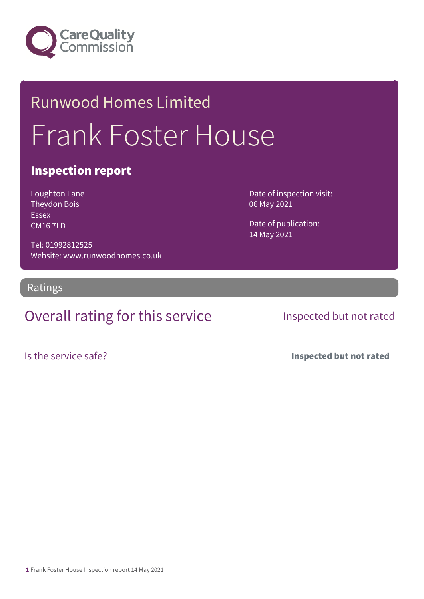

# Runwood Homes Limited Frank Foster House

### Inspection report

Loughton Lane Theydon Bois Essex CM16 7LD

Date of inspection visit: 06 May 2021

Date of publication: 14 May 2021

Tel: 01992812525 Website: www.runwoodhomes.co.uk

Ratings

## Overall rating for this service Inspected but not rated

Is the service safe? Inspected but not rated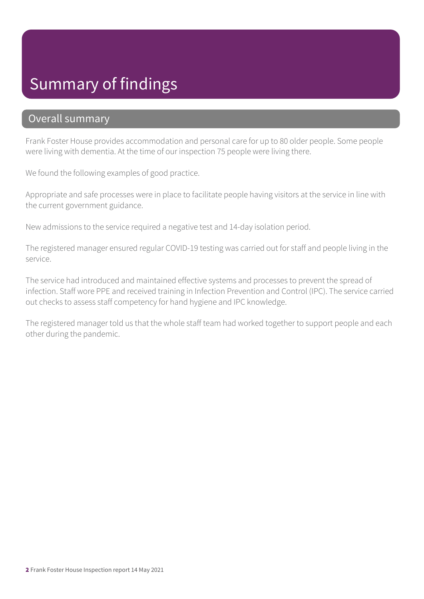## Summary of findings

### Overall summary

Frank Foster House provides accommodation and personal care for up to 80 older people. Some people were living with dementia. At the time of our inspection 75 people were living there.

We found the following examples of good practice.

Appropriate and safe processes were in place to facilitate people having visitors at the service in line with the current government guidance.

New admissions to the service required a negative test and 14-day isolation period.

The registered manager ensured regular COVID-19 testing was carried out for staff and people living in the service.

The service had introduced and maintained effective systems and processes to prevent the spread of infection. Staff wore PPE and received training in Infection Prevention and Control (IPC). The service carried out checks to assess staff competency for hand hygiene and IPC knowledge.

The registered manager told us that the whole staff team had worked together to support people and each other during the pandemic.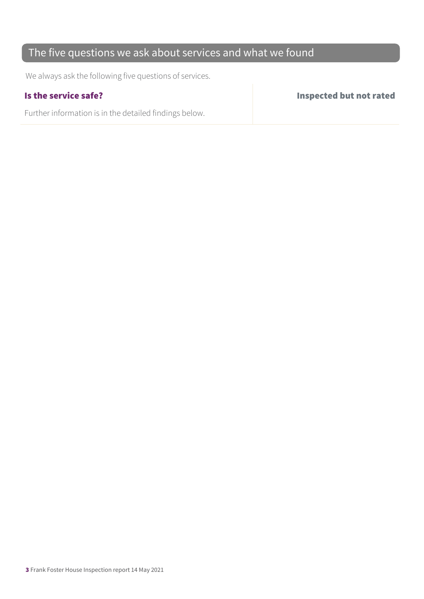### The five questions we ask about services and what we found

We always ask the following five questions of services.

Further information is in the detailed findings below.

Is the service safe? Inspected but not rated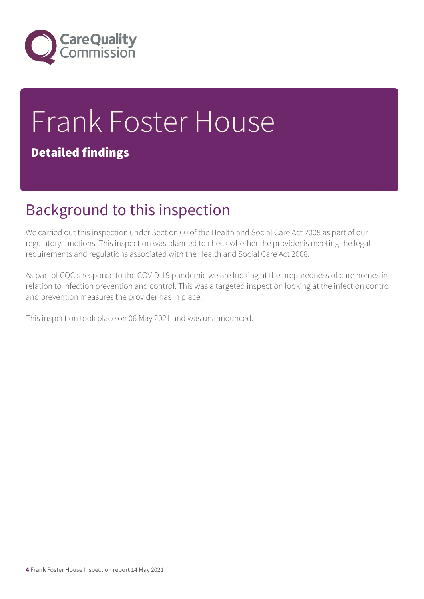

# Frank Foster House Detailed findings

# Background to this inspection

We carried out this inspection under Section 60 of the Health and Social Care Act 2008 as part of our regulatory functions. This inspection was planned to check whether the provider is meeting the legal requirements and regulations associated with the Health and Social Care Act 2008.

As part of CQC's response to the COVID-19 pandemic we are looking at the preparedness of care homes in relation to infection prevention and control. This was a targeted inspection looking at the infection control and prevention measures the provider has in place.

This inspection took place on 06 May 2021 and was unannounced.